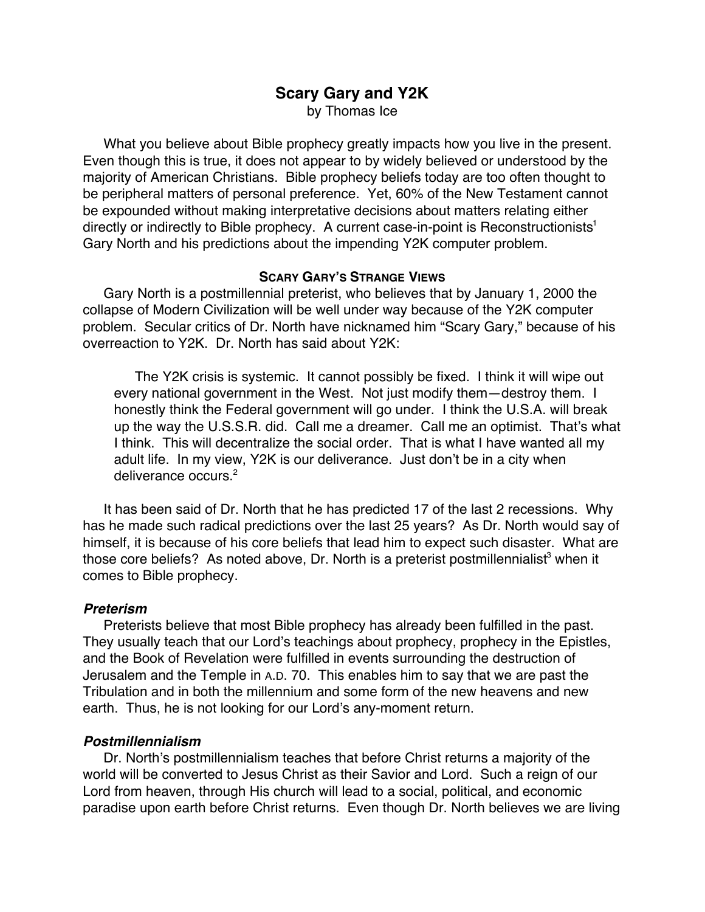# **Scary Gary and Y2K**

by Thomas Ice

What you believe about Bible prophecy greatly impacts how you live in the present. Even though this is true, it does not appear to by widely believed or understood by the majority of American Christians. Bible prophecy beliefs today are too often thought to be peripheral matters of personal preference. Yet, 60% of the New Testament cannot be expounded without making interpretative decisions about matters relating either directly or indirectly to Bible prophecy. A current case-in-point is Reconstructionists<sup>1</sup> Gary North and his predictions about the impending Y2K computer problem.

### **SCARY GARY'S STRANGE VIEWS**

Gary North is a postmillennial preterist, who believes that by January 1, 2000 the collapse of Modern Civilization will be well under way because of the Y2K computer problem. Secular critics of Dr. North have nicknamed him "Scary Gary," because of his overreaction to Y2K. Dr. North has said about Y2K:

The Y2K crisis is systemic. It cannot possibly be fixed. I think it will wipe out every national government in the West. Not just modify them—destroy them. I honestly think the Federal government will go under. I think the U.S.A. will break up the way the U.S.S.R. did. Call me a dreamer. Call me an optimist. That's what I think. This will decentralize the social order. That is what I have wanted all my adult life. In my view, Y2K is our deliverance. Just don't be in a city when deliverance occurs.<sup>2</sup>

It has been said of Dr. North that he has predicted 17 of the last 2 recessions. Why has he made such radical predictions over the last 25 years? As Dr. North would say of himself, it is because of his core beliefs that lead him to expect such disaster. What are those core beliefs? As noted above, Dr. North is a preterist postmillennialist<sup>3</sup> when it comes to Bible prophecy.

### **Preterism**

Preterists believe that most Bible prophecy has already been fulfilled in the past. They usually teach that our Lord's teachings about prophecy, prophecy in the Epistles, and the Book of Revelation were fulfilled in events surrounding the destruction of Jerusalem and the Temple in A.D. 70. This enables him to say that we are past the Tribulation and in both the millennium and some form of the new heavens and new earth. Thus, he is not looking for our Lord's any-moment return.

## **Postmillennialism**

Dr. North's postmillennialism teaches that before Christ returns a majority of the world will be converted to Jesus Christ as their Savior and Lord. Such a reign of our Lord from heaven, through His church will lead to a social, political, and economic paradise upon earth before Christ returns. Even though Dr. North believes we are living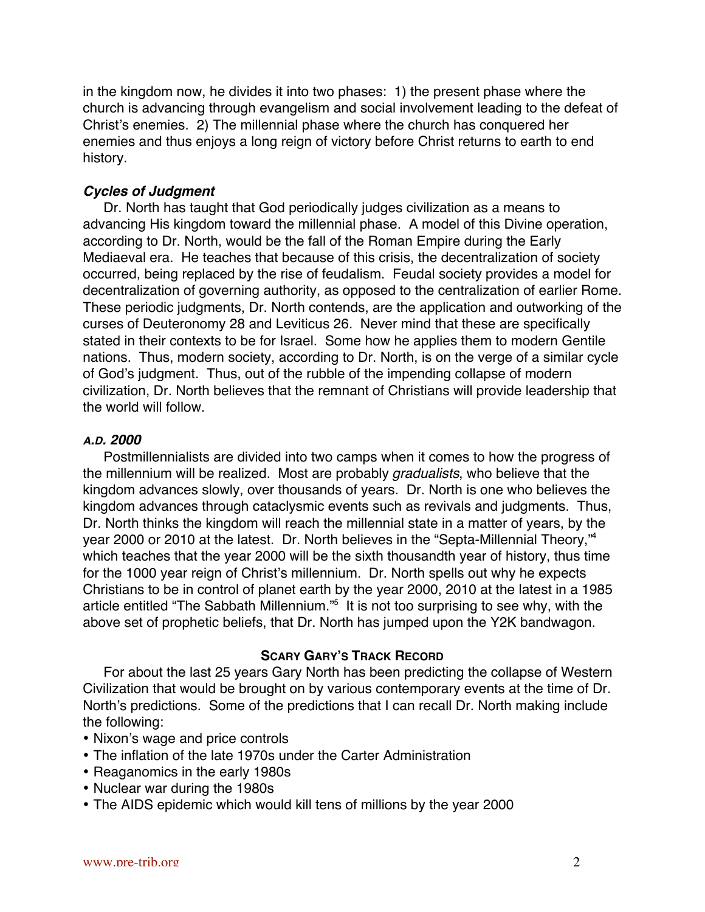in the kingdom now, he divides it into two phases: 1) the present phase where the church is advancing through evangelism and social involvement leading to the defeat of Christ's enemies. 2) The millennial phase where the church has conquered her enemies and thus enjoys a long reign of victory before Christ returns to earth to end history.

### **Cycles of Judgment**

Dr. North has taught that God periodically judges civilization as a means to advancing His kingdom toward the millennial phase. A model of this Divine operation, according to Dr. North, would be the fall of the Roman Empire during the Early Mediaeval era. He teaches that because of this crisis, the decentralization of society occurred, being replaced by the rise of feudalism. Feudal society provides a model for decentralization of governing authority, as opposed to the centralization of earlier Rome. These periodic judgments, Dr. North contends, are the application and outworking of the curses of Deuteronomy 28 and Leviticus 26. Never mind that these are specifically stated in their contexts to be for Israel. Some how he applies them to modern Gentile nations. Thus, modern society, according to Dr. North, is on the verge of a similar cycle of God's judgment. Thus, out of the rubble of the impending collapse of modern civilization, Dr. North believes that the remnant of Christians will provide leadership that the world will follow.

### **A.D. 2000**

Postmillennialists are divided into two camps when it comes to how the progress of the millennium will be realized. Most are probably gradualists, who believe that the kingdom advances slowly, over thousands of years. Dr. North is one who believes the kingdom advances through cataclysmic events such as revivals and judgments. Thus, Dr. North thinks the kingdom will reach the millennial state in a matter of years, by the year 2000 or 2010 at the latest. Dr. North believes in the "Septa-Millennial Theory,"4 which teaches that the year 2000 will be the sixth thousandth year of history, thus time for the 1000 year reign of Christ's millennium. Dr. North spells out why he expects Christians to be in control of planet earth by the year 2000, 2010 at the latest in a 1985 article entitled "The Sabbath Millennium."<sup>5</sup> It is not too surprising to see why, with the above set of prophetic beliefs, that Dr. North has jumped upon the Y2K bandwagon.

### **SCARY GARY'S TRACK RECORD**

For about the last 25 years Gary North has been predicting the collapse of Western Civilization that would be brought on by various contemporary events at the time of Dr. North's predictions. Some of the predictions that I can recall Dr. North making include the following:

Nixon's wage and price controls

The inflation of the late 1970s under the Carter Administration

Reaganomics in the early 1980s

Nuclear war during the 1980s

The AIDS epidemic which would kill tens of millions by the year 2000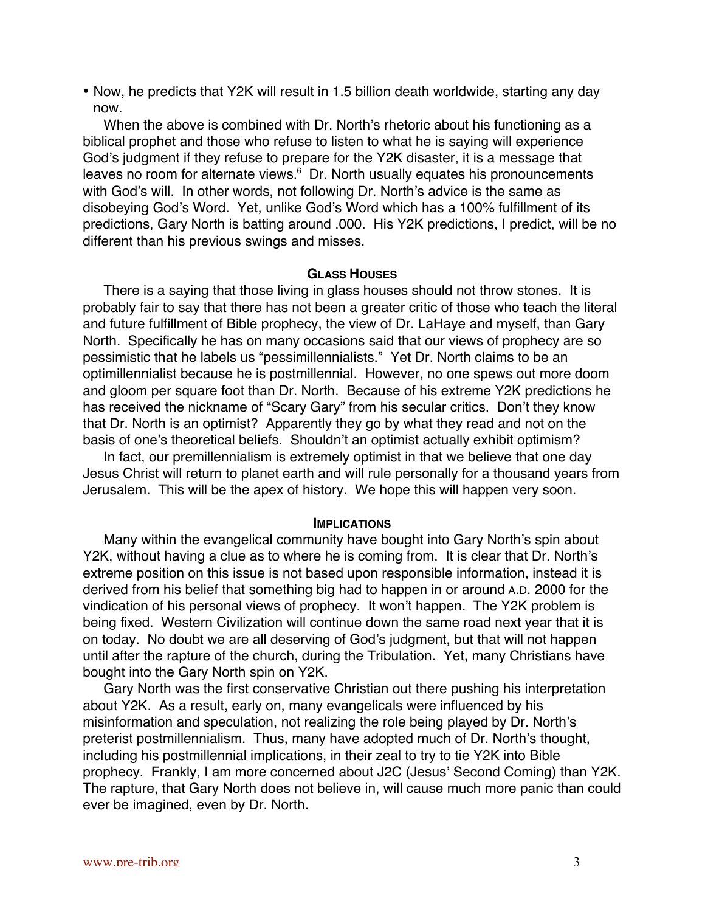Now, he predicts that Y2K will result in 1.5 billion death worldwide, starting any day now.

When the above is combined with Dr. North's rhetoric about his functioning as a biblical prophet and those who refuse to listen to what he is saying will experience God's judgment if they refuse to prepare for the Y2K disaster, it is a message that leaves no room for alternate views.<sup>6</sup> Dr. North usually equates his pronouncements with God's will. In other words, not following Dr. North's advice is the same as disobeying God's Word. Yet, unlike God's Word which has a 100% fulfillment of its predictions, Gary North is batting around .000. His Y2K predictions, I predict, will be no different than his previous swings and misses.

#### **GLASS HOUSES**

There is a saying that those living in glass houses should not throw stones. It is probably fair to say that there has not been a greater critic of those who teach the literal and future fulfillment of Bible prophecy, the view of Dr. LaHaye and myself, than Gary North. Specifically he has on many occasions said that our views of prophecy are so pessimistic that he labels us "pessimillennialists." Yet Dr. North claims to be an optimillennialist because he is postmillennial. However, no one spews out more doom and gloom per square foot than Dr. North. Because of his extreme Y2K predictions he has received the nickname of "Scary Gary" from his secular critics. Don't they know that Dr. North is an optimist? Apparently they go by what they read and not on the basis of one's theoretical beliefs. Shouldn't an optimist actually exhibit optimism?

In fact, our premillennialism is extremely optimist in that we believe that one day Jesus Christ will return to planet earth and will rule personally for a thousand years from Jerusalem. This will be the apex of history. We hope this will happen very soon.

#### **IMPLICATIONS**

Many within the evangelical community have bought into Gary North's spin about Y2K, without having a clue as to where he is coming from. It is clear that Dr. North's extreme position on this issue is not based upon responsible information, instead it is derived from his belief that something big had to happen in or around A.D. 2000 for the vindication of his personal views of prophecy. It won't happen. The Y2K problem is being fixed. Western Civilization will continue down the same road next year that it is on today. No doubt we are all deserving of God's judgment, but that will not happen until after the rapture of the church, during the Tribulation. Yet, many Christians have bought into the Gary North spin on Y2K.

Gary North was the first conservative Christian out there pushing his interpretation about Y2K. As a result, early on, many evangelicals were influenced by his misinformation and speculation, not realizing the role being played by Dr. North's preterist postmillennialism. Thus, many have adopted much of Dr. North's thought, including his postmillennial implications, in their zeal to try to tie Y2K into Bible prophecy. Frankly, I am more concerned about J2C (Jesus' Second Coming) than Y2K. The rapture, that Gary North does not believe in, will cause much more panic than could ever be imagined, even by Dr. North.